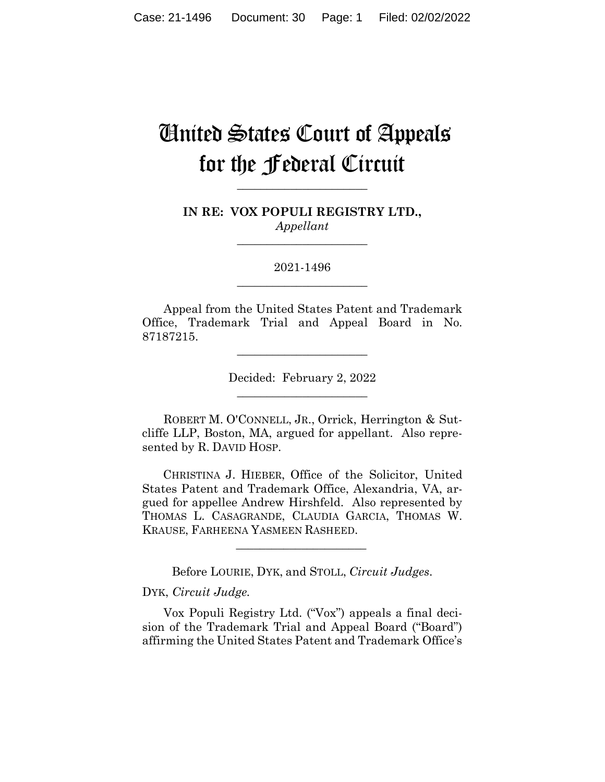## United States Court of Appeals for the Federal Circuit

**\_\_\_\_\_\_\_\_\_\_\_\_\_\_\_\_\_\_\_\_\_\_** 

**IN RE: VOX POPULI REGISTRY LTD.,** *Appellant*

**\_\_\_\_\_\_\_\_\_\_\_\_\_\_\_\_\_\_\_\_\_\_** 

2021-1496 **\_\_\_\_\_\_\_\_\_\_\_\_\_\_\_\_\_\_\_\_\_\_** 

Appeal from the United States Patent and Trademark Office, Trademark Trial and Appeal Board in No. 87187215.

> Decided: February 2, 2022  $\overline{\phantom{a}}$  , where  $\overline{\phantom{a}}$  , where  $\overline{\phantom{a}}$  , where  $\overline{\phantom{a}}$

 $\overline{\phantom{a}}$  , where  $\overline{\phantom{a}}$  , where  $\overline{\phantom{a}}$  , where  $\overline{\phantom{a}}$ 

ROBERT M. O'CONNELL, JR., Orrick, Herrington & Sutcliffe LLP, Boston, MA, argued for appellant. Also represented by R. DAVID HOSP.

 CHRISTINA J. HIEBER, Office of the Solicitor, United States Patent and Trademark Office, Alexandria, VA, argued for appellee Andrew Hirshfeld. Also represented by THOMAS L. CASAGRANDE, CLAUDIA GARCIA, THOMAS W. KRAUSE, FARHEENA YASMEEN RASHEED.

Before LOURIE, DYK, and STOLL, *Circuit Judges*.

 $\mathcal{L}_\text{max}$  and  $\mathcal{L}_\text{max}$  and  $\mathcal{L}_\text{max}$  and  $\mathcal{L}_\text{max}$ 

#### DYK, *Circuit Judge.*

Vox Populi Registry Ltd. ("Vox") appeals a final decision of the Trademark Trial and Appeal Board ("Board") affirming the United States Patent and Trademark Office's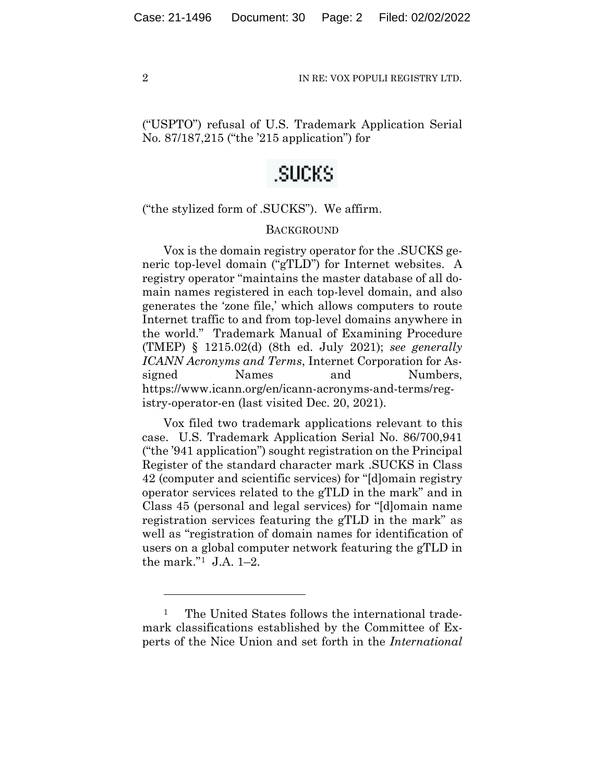("USPTO") refusal of U.S. Trademark Application Serial No. 87/187,215 ("the '215 application") for

### .SUCKS

("the stylized form of .SUCKS"). We affirm.

#### **BACKGROUND**

Vox is the domain registry operator for the .SUCKS generic top-level domain ("gTLD") for Internet websites. A registry operator "maintains the master database of all domain names registered in each top-level domain, and also generates the 'zone file,' which allows computers to route Internet traffic to and from top-level domains anywhere in the world." Trademark Manual of Examining Procedure (TMEP) § 1215.02(d) (8th ed. July 2021); *see generally ICANN Acronyms and Terms*, Internet Corporation for Assigned Names and Numbers, https://www.icann.org/en/icann-acronyms-and-terms/registry-operator-en (last visited Dec. 20, 2021).

Vox filed two trademark applications relevant to this case. U.S. Trademark Application Serial No. 86/700,941 ("the '941 application") sought registration on the Principal Register of the standard character mark .SUCKS in Class 42 (computer and scientific services) for "[d]omain registry operator services related to the gTLD in the mark" and in Class 45 (personal and legal services) for "[d]omain name registration services featuring the gTLD in the mark" as well as "registration of domain names for identification of users on a global computer network featuring the gTLD in the mark."1 J.A. 1–2.

<sup>&</sup>lt;sup>1</sup> The United States follows the international trademark classifications established by the Committee of Experts of the Nice Union and set forth in the *International*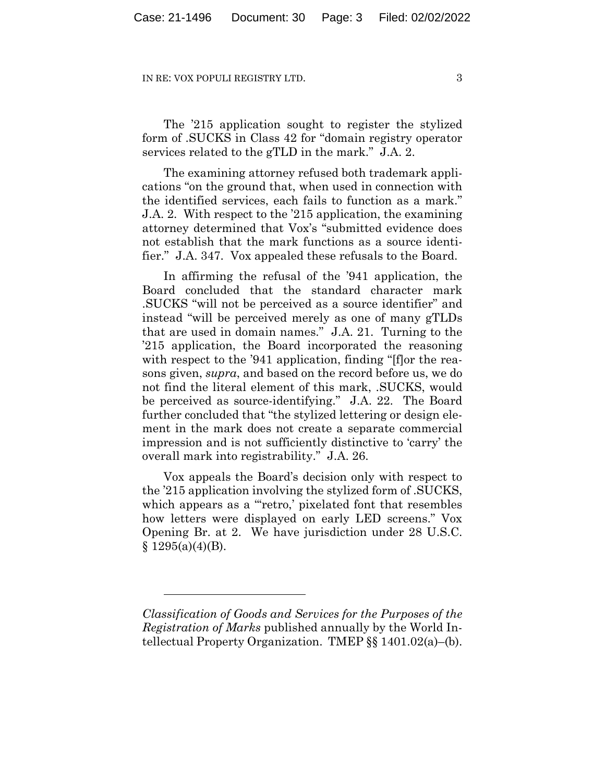The '215 application sought to register the stylized form of .SUCKS in Class 42 for "domain registry operator services related to the gTLD in the mark." J.A. 2.

The examining attorney refused both trademark applications "on the ground that, when used in connection with the identified services, each fails to function as a mark." J.A. 2. With respect to the '215 application, the examining attorney determined that Vox's "submitted evidence does not establish that the mark functions as a source identifier." J.A. 347. Vox appealed these refusals to the Board.

In affirming the refusal of the '941 application, the Board concluded that the standard character mark .SUCKS "will not be perceived as a source identifier" and instead "will be perceived merely as one of many gTLDs that are used in domain names." J.A. 21. Turning to the '215 application, the Board incorporated the reasoning with respect to the '941 application, finding "[f] or the reasons given, *supra*, and based on the record before us, we do not find the literal element of this mark, .SUCKS, would be perceived as source-identifying." J.A. 22. The Board further concluded that "the stylized lettering or design element in the mark does not create a separate commercial impression and is not sufficiently distinctive to 'carry' the overall mark into registrability." J.A. 26.

Vox appeals the Board's decision only with respect to the '215 application involving the stylized form of .SUCKS, which appears as a "retro,' pixelated font that resembles how letters were displayed on early LED screens." Vox Opening Br. at 2. We have jurisdiction under 28 U.S.C.  $§ 1295(a)(4)(B).$ 

*Classification of Goods and Services for the Purposes of the Registration of Marks* published annually by the World Intellectual Property Organization. TMEP §§ 1401.02(a)–(b).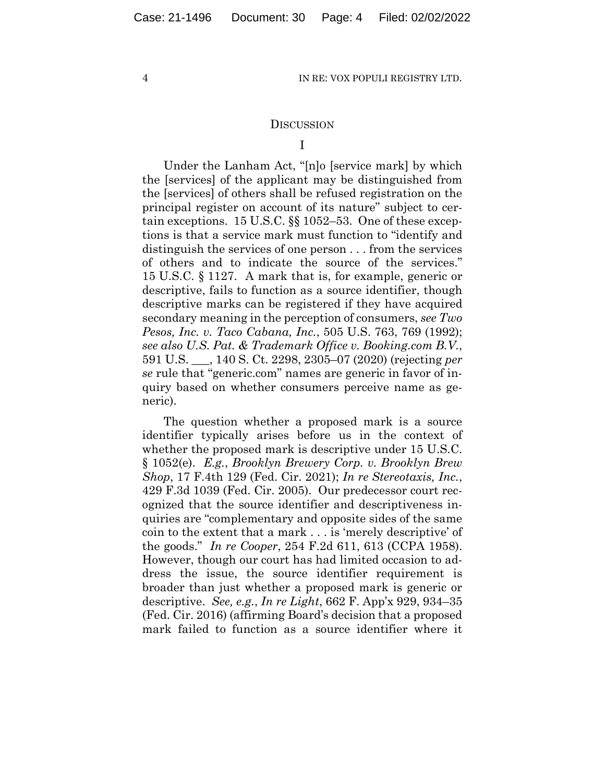#### **DISCUSSION**

#### I

Under the Lanham Act, "[n]o [service mark] by which the [services] of the applicant may be distinguished from the [services] of others shall be refused registration on the principal register on account of its nature" subject to certain exceptions. 15 U.S.C. §§ 1052–53. One of these exceptions is that a service mark must function to "identify and distinguish the services of one person . . . from the services of others and to indicate the source of the services." 15 U.S.C. § 1127. A mark that is, for example, generic or descriptive, fails to function as a source identifier, though descriptive marks can be registered if they have acquired secondary meaning in the perception of consumers, *see Two Pesos, Inc. v. Taco Cabana, Inc.*, 505 U.S. 763, 769 (1992); *see also U.S. Pat. & Trademark Office v. Booking.com B.V.*, 591 U.S. \_\_\_, 140 S. Ct. 2298, 2305–07 (2020) (rejecting *per se* rule that "generic.com" names are generic in favor of inquiry based on whether consumers perceive name as generic).

The question whether a proposed mark is a source identifier typically arises before us in the context of whether the proposed mark is descriptive under 15 U.S.C. § 1052(e). *E.g.*, *Brooklyn Brewery Corp. v. Brooklyn Brew Shop*, 17 F.4th 129 (Fed. Cir. 2021); *In re Stereotaxis, Inc.*, 429 F.3d 1039 (Fed. Cir. 2005). Our predecessor court recognized that the source identifier and descriptiveness inquiries are "complementary and opposite sides of the same coin to the extent that a mark . . . is 'merely descriptive' of the goods." *In re Cooper*, 254 F.2d 611, 613 (CCPA 1958). However, though our court has had limited occasion to address the issue, the source identifier requirement is broader than just whether a proposed mark is generic or descriptive. *See, e.g.*, *In re Light*, 662 F. App'x 929, 934–35 (Fed. Cir. 2016) (affirming Board's decision that a proposed mark failed to function as a source identifier where it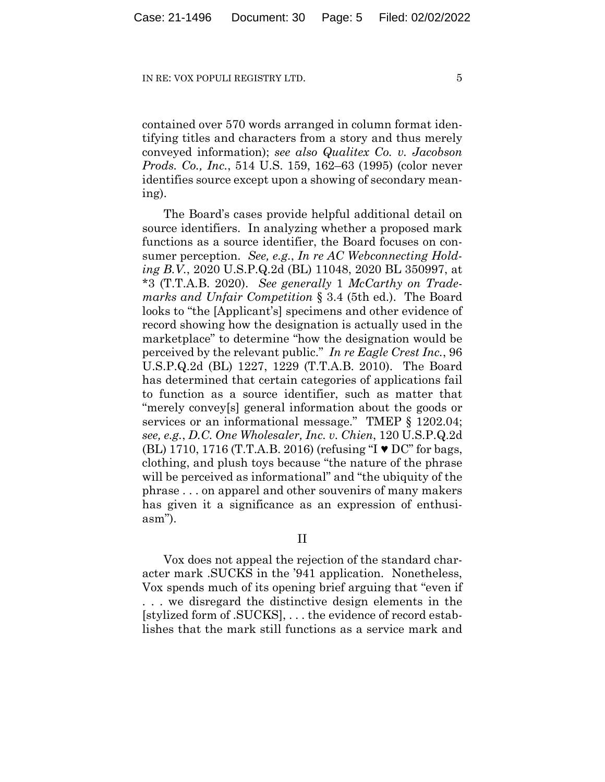contained over 570 words arranged in column format identifying titles and characters from a story and thus merely conveyed information); *see also Qualitex Co. v. Jacobson Prods. Co., Inc.*, 514 U.S. 159, 162–63 (1995) (color never identifies source except upon a showing of secondary meaning).

The Board's cases provide helpful additional detail on source identifiers. In analyzing whether a proposed mark functions as a source identifier, the Board focuses on consumer perception. *See, e.g.*, *In re AC Webconnecting Holding B.V.*, 2020 U.S.P.Q.2d (BL) 11048, 2020 BL 350997, at \*3 (T.T.A.B. 2020). *See generally* 1 *McCarthy on Trademarks and Unfair Competition* § 3.4 (5th ed.). The Board looks to "the [Applicant's] specimens and other evidence of record showing how the designation is actually used in the marketplace" to determine "how the designation would be perceived by the relevant public." *In re Eagle Crest Inc.*, 96 U.S.P.Q.2d (BL) 1227, 1229 (T.T.A.B. 2010). The Board has determined that certain categories of applications fail to function as a source identifier, such as matter that "merely convey[s] general information about the goods or services or an informational message." TMEP § 1202.04; *see, e.g.*, *D.C. One Wholesaler, Inc. v. Chien*, 120 U.S.P.Q.2d (BL) 1710, 1716 (T.T.A.B. 2016) (refusing "I ♥ DC" for bags, clothing, and plush toys because "the nature of the phrase will be perceived as informational" and "the ubiquity of the phrase . . . on apparel and other souvenirs of many makers has given it a significance as an expression of enthusiasm").

II

Vox does not appeal the rejection of the standard character mark .SUCKS in the '941 application. Nonetheless, Vox spends much of its opening brief arguing that "even if . . . we disregard the distinctive design elements in the [stylized form of .SUCKS], . . . the evidence of record establishes that the mark still functions as a service mark and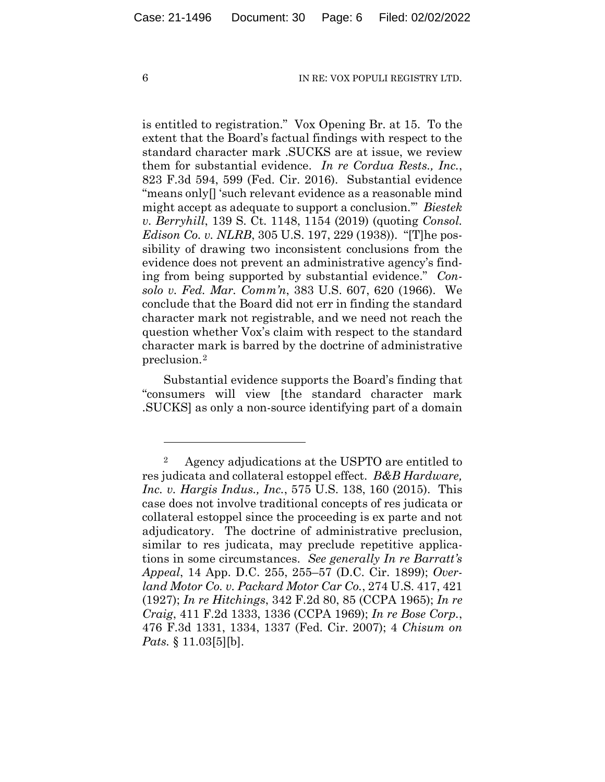is entitled to registration." Vox Opening Br. at 15. To the extent that the Board's factual findings with respect to the standard character mark .SUCKS are at issue, we review them for substantial evidence. *In re Cordua Rests., Inc.*, 823 F.3d 594, 599 (Fed. Cir. 2016). Substantial evidence "means only[] 'such relevant evidence as a reasonable mind might accept as adequate to support a conclusion.'" *Biestek v. Berryhill*, 139 S. Ct. 1148, 1154 (2019) (quoting *Consol. Edison Co. v. NLRB*, 305 U.S. 197, 229 (1938)). "[T]he possibility of drawing two inconsistent conclusions from the evidence does not prevent an administrative agency's finding from being supported by substantial evidence." *Consolo v. Fed. Mar. Comm'n*, 383 U.S. 607, 620 (1966). We conclude that the Board did not err in finding the standard character mark not registrable, and we need not reach the question whether Vox's claim with respect to the standard character mark is barred by the doctrine of administrative preclusion.2

Substantial evidence supports the Board's finding that "consumers will view [the standard character mark .SUCKS] as only a non-source identifying part of a domain

<sup>2</sup> Agency adjudications at the USPTO are entitled to res judicata and collateral estoppel effect. *B&B Hardware, Inc. v. Hargis Indus., Inc.*, 575 U.S. 138, 160 (2015). This case does not involve traditional concepts of res judicata or collateral estoppel since the proceeding is ex parte and not adjudicatory. The doctrine of administrative preclusion, similar to res judicata, may preclude repetitive applications in some circumstances. *See generally In re Barratt's Appeal*, 14 App. D.C. 255, 255–57 (D.C. Cir. 1899); *Overland Motor Co. v. Packard Motor Car Co.*, 274 U.S. 417, 421 (1927); *In re Hitchings*, 342 F.2d 80, 85 (CCPA 1965); *In re Craig*, 411 F.2d 1333, 1336 (CCPA 1969); *In re Bose Corp.*, 476 F.3d 1331, 1334, 1337 (Fed. Cir. 2007); 4 *Chisum on Pats.* § 11.03[5][b].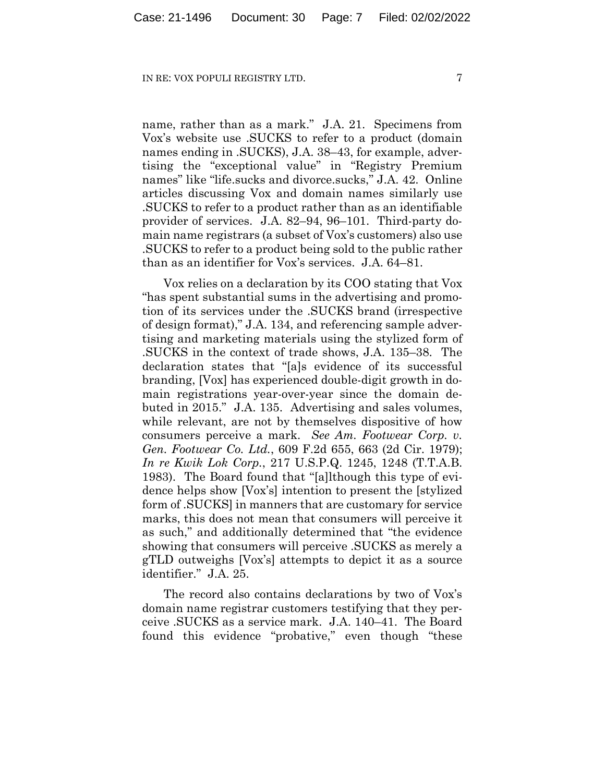name, rather than as a mark." J.A. 21. Specimens from Vox's website use .SUCKS to refer to a product (domain names ending in .SUCKS), J.A. 38–43, for example, advertising the "exceptional value" in "Registry Premium names" like "life.sucks and divorce.sucks," J.A. 42. Online articles discussing Vox and domain names similarly use .SUCKS to refer to a product rather than as an identifiable provider of services. J.A. 82–94, 96–101. Third-party domain name registrars (a subset of Vox's customers) also use .SUCKS to refer to a product being sold to the public rather than as an identifier for Vox's services. J.A. 64–81.

Vox relies on a declaration by its COO stating that Vox "has spent substantial sums in the advertising and promotion of its services under the .SUCKS brand (irrespective of design format)," J.A. 134, and referencing sample advertising and marketing materials using the stylized form of .SUCKS in the context of trade shows, J.A. 135–38. The declaration states that "[a]s evidence of its successful branding, [Vox] has experienced double-digit growth in domain registrations year-over-year since the domain debuted in 2015." J.A. 135. Advertising and sales volumes, while relevant, are not by themselves dispositive of how consumers perceive a mark. *See Am. Footwear Corp. v. Gen. Footwear Co. Ltd.*, 609 F.2d 655, 663 (2d Cir. 1979); *In re Kwik Lok Corp.*, 217 U.S.P.Q. 1245, 1248 (T.T.A.B. 1983). The Board found that "[a]lthough this type of evidence helps show [Vox's] intention to present the [stylized form of .SUCKS] in manners that are customary for service marks, this does not mean that consumers will perceive it as such," and additionally determined that "the evidence showing that consumers will perceive .SUCKS as merely a gTLD outweighs [Vox's] attempts to depict it as a source identifier." J.A. 25.

The record also contains declarations by two of Vox's domain name registrar customers testifying that they perceive .SUCKS as a service mark. J.A. 140–41. The Board found this evidence "probative," even though "these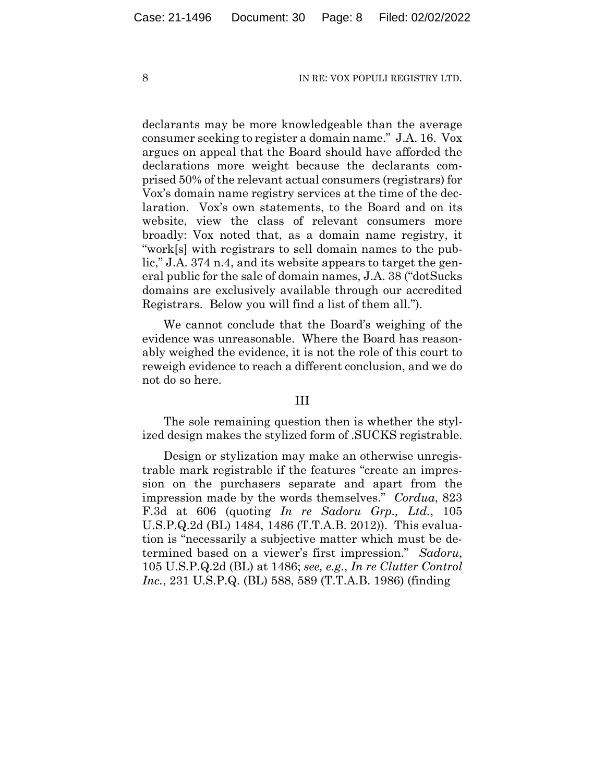declarants may be more knowledgeable than the average consumer seeking to register a domain name." J.A. 16. Vox argues on appeal that the Board should have afforded the declarations more weight because the declarants comprised 50% of the relevant actual consumers (registrars) for Vox's domain name registry services at the time of the declaration. Vox's own statements, to the Board and on its website, view the class of relevant consumers more broadly: Vox noted that, as a domain name registry, it "work[s] with registrars to sell domain names to the public," J.A. 374 n.4, and its website appears to target the general public for the sale of domain names, J.A. 38 ("dotSucks domains are exclusively available through our accredited Registrars. Below you will find a list of them all.").

We cannot conclude that the Board's weighing of the evidence was unreasonable. Where the Board has reasonably weighed the evidence, it is not the role of this court to reweigh evidence to reach a different conclusion, and we do not do so here.

#### III

The sole remaining question then is whether the stylized design makes the stylized form of .SUCKS registrable.

Design or stylization may make an otherwise unregistrable mark registrable if the features "create an impression on the purchasers separate and apart from the impression made by the words themselves." *Cordua*, 823 F.3d at 606 (quoting *In re Sadoru Grp., Ltd.*, 105 U.S.P.Q.2d (BL) 1484, 1486 (T.T.A.B. 2012)). This evaluation is "necessarily a subjective matter which must be determined based on a viewer's first impression." *Sadoru*, 105 U.S.P.Q.2d (BL) at 1486; *see, e.g.*, *In re Clutter Control Inc.*, 231 U.S.P.Q. (BL) 588, 589 (T.T.A.B. 1986) (finding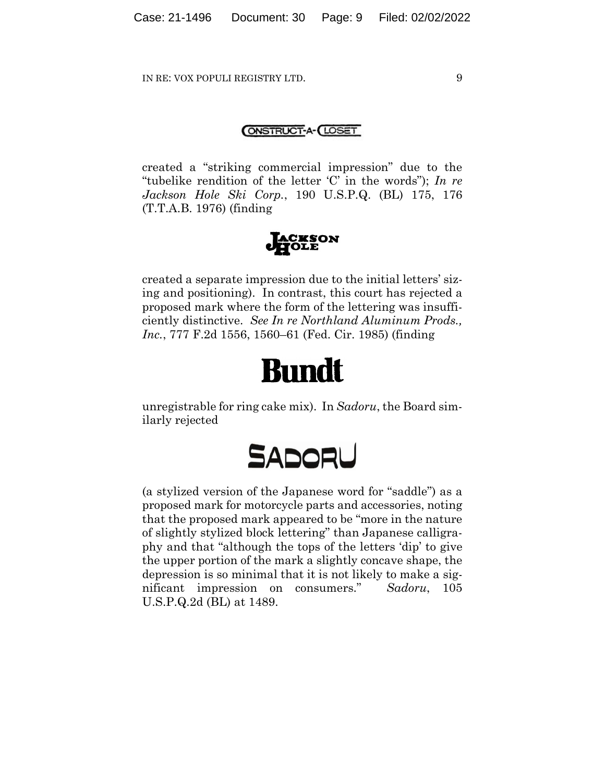#### **ONSTRUCT-A- LOSET**

created a "striking commercial impression" due to the "tubelike rendition of the letter 'C' in the words"); *In re Jackson Hole Ski Corp.*, 190 U.S.P.Q. (BL) 175, 176 (T.T.A.B. 1976) (finding



created a separate impression due to the initial letters' sizing and positioning). In contrast, this court has rejected a proposed mark where the form of the lettering was insufficiently distinctive. *See In re Northland Aluminum Prods., Inc.*, 777 F.2d 1556, 1560–61 (Fed. Cir. 1985) (finding

# **Bundt**

unregistrable for ring cake mix). In *Sadoru*, the Board similarly rejected



(a stylized version of the Japanese word for "saddle") as a proposed mark for motorcycle parts and accessories, noting that the proposed mark appeared to be "more in the nature of slightly stylized block lettering" than Japanese calligraphy and that "although the tops of the letters 'dip' to give the upper portion of the mark a slightly concave shape, the depression is so minimal that it is not likely to make a significant impression on consumers." *Sadoru*, 105 U.S.P.Q.2d (BL) at 1489.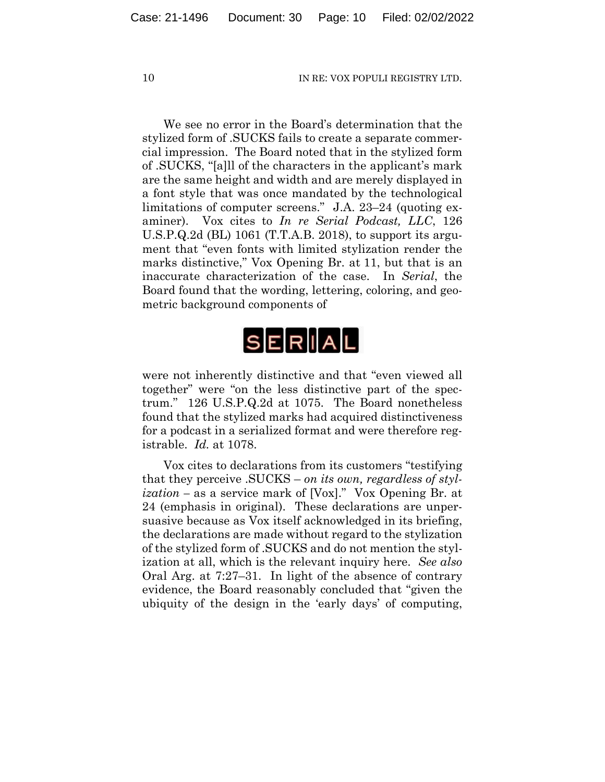We see no error in the Board's determination that the stylized form of .SUCKS fails to create a separate commercial impression. The Board noted that in the stylized form of .SUCKS, "[a]ll of the characters in the applicant's mark are the same height and width and are merely displayed in a font style that was once mandated by the technological limitations of computer screens." J.A. 23–24 (quoting examiner). Vox cites to *In re Serial Podcast, LLC*, 126 U.S.P.Q.2d (BL) 1061 (T.T.A.B. 2018), to support its argument that "even fonts with limited stylization render the marks distinctive," Vox Opening Br. at 11, but that is an inaccurate characterization of the case. In *Serial*, the Board found that the wording, lettering, coloring, and geometric background components of



were not inherently distinctive and that "even viewed all together" were "on the less distinctive part of the spectrum." 126 U.S.P.Q.2d at 1075. The Board nonetheless found that the stylized marks had acquired distinctiveness for a podcast in a serialized format and were therefore registrable. *Id.* at 1078.

Vox cites to declarations from its customers "testifying that they perceive .SUCKS – *on its own, regardless of stylization –* as a service mark of [Vox]." Vox Opening Br. at 24 (emphasis in original). These declarations are unpersuasive because as Vox itself acknowledged in its briefing, the declarations are made without regard to the stylization of the stylized form of .SUCKS and do not mention the stylization at all, which is the relevant inquiry here. *See also* Oral Arg. at 7:27–31. In light of the absence of contrary evidence, the Board reasonably concluded that "given the ubiquity of the design in the 'early days' of computing,